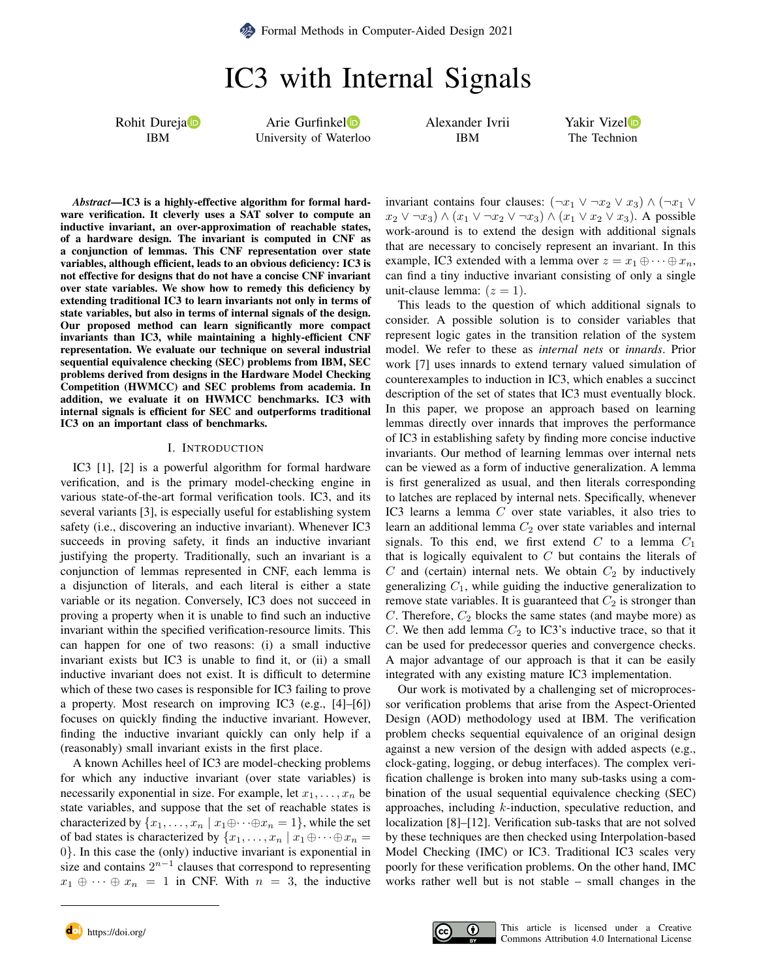**Example 3** [Formal Methods in Computer-Aided Design 2021](https://fmcad.org/FMCAD21)

IC3 with Internal Signals

Rohit Durej[a](https://orcid.org/0000-0002-7152-8115)<sup>D</sup> IBM

Arie Gurfinke[l](https://orcid.org/0000-0002-5964-6792) University of Waterloo Alexander Ivrii IBM

Yakir Vize[l](https://orcid.org/0000-0002-5655-1667)<sup>D</sup> The Technion

*Abstract*—IC3 is a highly-effective algorithm for formal hardware verification. It cleverly uses a SAT solver to compute an inductive invariant, an over-approximation of reachable states, of a hardware design. The invariant is computed in CNF as a conjunction of lemmas. This CNF representation over state variables, although efficient, leads to an obvious deficiency: IC3 is not effective for designs that do not have a concise CNF invariant over state variables. We show how to remedy this deficiency by extending traditional IC3 to learn invariants not only in terms of state variables, but also in terms of internal signals of the design. Our proposed method can learn significantly more compact invariants than IC3, while maintaining a highly-efficient CNF representation. We evaluate our technique on several industrial sequential equivalence checking (SEC) problems from IBM, SEC problems derived from designs in the Hardware Model Checking Competition (HWMCC) and SEC problems from academia. In addition, we evaluate it on HWMCC benchmarks. IC3 with internal signals is efficient for SEC and outperforms traditional IC3 on an important class of benchmarks.

#### I. INTRODUCTION

IC3 [\[1\]](#page-8-0), [\[2\]](#page-8-1) is a powerful algorithm for formal hardware verification, and is the primary model-checking engine in various state-of-the-art formal verification tools. IC3, and its several variants [\[3\]](#page-8-2), is especially useful for establishing system safety (i.e., discovering an inductive invariant). Whenever IC3 succeeds in proving safety, it finds an inductive invariant justifying the property. Traditionally, such an invariant is a conjunction of lemmas represented in CNF, each lemma is a disjunction of literals, and each literal is either a state variable or its negation. Conversely, IC3 does not succeed in proving a property when it is unable to find such an inductive invariant within the specified verification-resource limits. This can happen for one of two reasons: (i) a small inductive invariant exists but IC3 is unable to find it, or (ii) a small inductive invariant does not exist. It is difficult to determine which of these two cases is responsible for IC3 failing to prove a property. Most research on improving IC3 (e.g., [\[4\]](#page-8-3)–[\[6\]](#page-8-4)) focuses on quickly finding the inductive invariant. However, finding the inductive invariant quickly can only help if a (reasonably) small invariant exists in the first place.

A known Achilles heel of IC3 are model-checking problems for which any inductive invariant (over state variables) is necessarily exponential in size. For example, let  $x_1, \ldots, x_n$  be state variables, and suppose that the set of reachable states is characterized by  $\{x_1, \ldots, x_n \mid x_1 \oplus \cdots \oplus x_n = 1\}$ , while the set of bad states is characterized by  $\{x_1, \ldots, x_n \mid x_1 \oplus \cdots \oplus x_n =$ 0}. In this case the (only) inductive invariant is exponential in size and contains  $2^{n-1}$  clauses that correspond to representing  $x_1 \oplus \cdots \oplus x_n = 1$  in CNF. With  $n = 3$ , the inductive invariant contains four clauses:  $(\neg x_1 \lor \neg x_2 \lor x_3) \land (\neg x_1 \lor \neg x_2 \lor x_3)$  $x_2 \vee \neg x_3$ )  $\wedge (x_1 \vee \neg x_2 \vee \neg x_3)$   $\wedge (x_1 \vee x_2 \vee x_3)$ . A possible work-around is to extend the design with additional signals that are necessary to concisely represent an invariant. In this example, IC3 extended with a lemma over  $z = x_1 \oplus \cdots \oplus x_n$ , can find a tiny inductive invariant consisting of only a single unit-clause lemma:  $(z = 1)$ .

This leads to the question of which additional signals to consider. A possible solution is to consider variables that represent logic gates in the transition relation of the system model. We refer to these as *internal nets* or *innards*. Prior work [\[7\]](#page-8-5) uses innards to extend ternary valued simulation of counterexamples to induction in IC3, which enables a succinct description of the set of states that IC3 must eventually block. In this paper, we propose an approach based on learning lemmas directly over innards that improves the performance of IC3 in establishing safety by finding more concise inductive invariants. Our method of learning lemmas over internal nets can be viewed as a form of inductive generalization. A lemma is first generalized as usual, and then literals corresponding to latches are replaced by internal nets. Specifically, whenever IC3 learns a lemma C over state variables, it also tries to learn an additional lemma  $C_2$  over state variables and internal signals. To this end, we first extend  $C$  to a lemma  $C_1$ that is logically equivalent to  $C$  but contains the literals of  $C$  and (certain) internal nets. We obtain  $C_2$  by inductively generalizing  $C_1$ , while guiding the inductive generalization to remove state variables. It is guaranteed that  $C_2$  is stronger than C. Therefore,  $C_2$  blocks the same states (and maybe more) as C. We then add lemma  $C_2$  to IC3's inductive trace, so that it can be used for predecessor queries and convergence checks. A major advantage of our approach is that it can be easily integrated with any existing mature IC3 implementation.

Our work is motivated by a challenging set of microprocessor verification problems that arise from the Aspect-Oriented Design (AOD) methodology used at IBM. The verification problem checks sequential equivalence of an original design against a new version of the design with added aspects (e.g., clock-gating, logging, or debug interfaces). The complex verification challenge is broken into many sub-tasks using a combination of the usual sequential equivalence checking (SEC) approaches, including  $k$ -induction, speculative reduction, and localization [\[8\]](#page-8-6)–[\[12\]](#page-8-7). Verification sub-tasks that are not solved by these techniques are then checked using Interpolation-based Model Checking (IMC) or IC3. Traditional IC3 scales very poorly for these verification problems. On the other hand, IMC works rather well but is not stable – small changes in the





doi <https://doi.org/> This article is licensed under a Creative [Commons Attribution 4.0 International License](https://creativecommons.org/licenses/by/4.0/)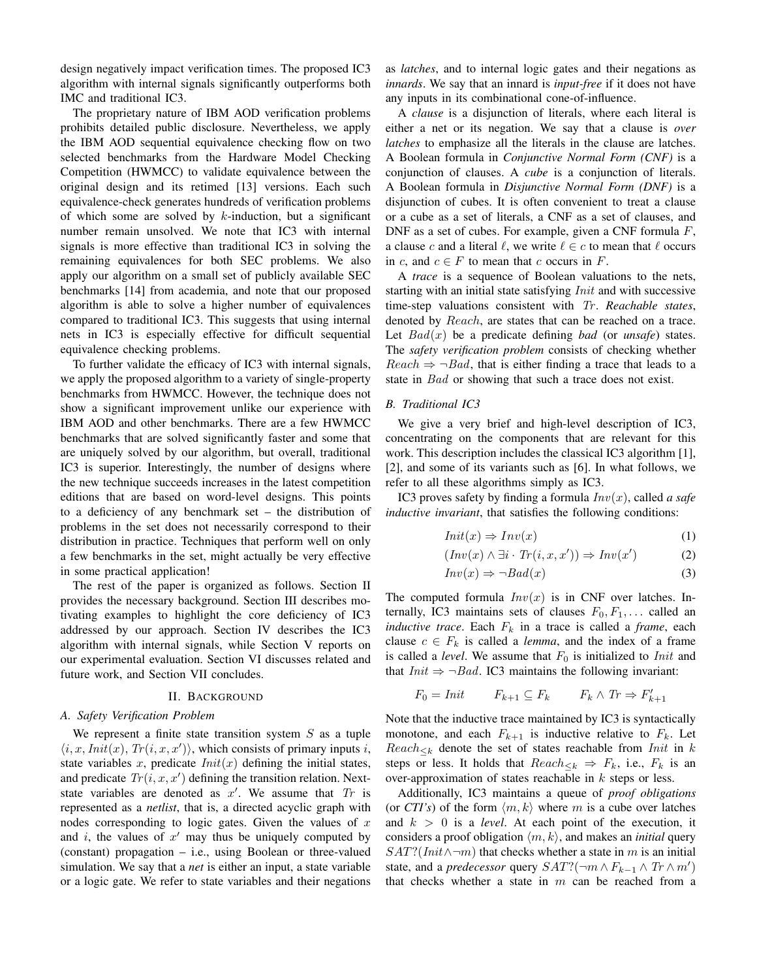design negatively impact verification times. The proposed IC3 algorithm with internal signals significantly outperforms both IMC and traditional IC3.

The proprietary nature of IBM AOD verification problems prohibits detailed public disclosure. Nevertheless, we apply the IBM AOD sequential equivalence checking flow on two selected benchmarks from the Hardware Model Checking Competition (HWMCC) to validate equivalence between the original design and its retimed [\[13\]](#page-8-8) versions. Each such equivalence-check generates hundreds of verification problems of which some are solved by  $k$ -induction, but a significant number remain unsolved. We note that IC3 with internal signals is more effective than traditional IC3 in solving the remaining equivalences for both SEC problems. We also apply our algorithm on a small set of publicly available SEC benchmarks [\[14\]](#page-8-9) from academia, and note that our proposed algorithm is able to solve a higher number of equivalences compared to traditional IC3. This suggests that using internal nets in IC3 is especially effective for difficult sequential equivalence checking problems.

To further validate the efficacy of IC3 with internal signals, we apply the proposed algorithm to a variety of single-property benchmarks from HWMCC. However, the technique does not show a significant improvement unlike our experience with IBM AOD and other benchmarks. There are a few HWMCC benchmarks that are solved significantly faster and some that are uniquely solved by our algorithm, but overall, traditional IC3 is superior. Interestingly, the number of designs where the new technique succeeds increases in the latest competition editions that are based on word-level designs. This points to a deficiency of any benchmark set – the distribution of problems in the set does not necessarily correspond to their distribution in practice. Techniques that perform well on only a few benchmarks in the set, might actually be very effective in some practical application!

The rest of the paper is organized as follows. Section [II](#page-1-0) provides the necessary background. Section [III](#page-2-0) describes motivating examples to highlight the core deficiency of IC3 addressed by our approach. Section [IV](#page-2-1) describes the IC3 algorithm with internal signals, while Section [V](#page-5-0) reports on our experimental evaluation. Section [VI](#page-7-0) discusses related and future work, and Section [VII](#page-7-1) concludes.

#### II. BACKGROUND

# <span id="page-1-0"></span>*A. Safety Verification Problem*

We represent a finite state transition system  $S$  as a tuple  $\langle i, x,Init(x), Tr(i, x, x')\rangle$ , which consists of primary inputs i, state variables x, predicate  $Init(x)$  defining the initial states, and predicate  $Tr(i, x, x')$  defining the transition relation. Nextstate variables are denoted as  $x'$ . We assume that  $Tr$  is represented as a *netlist*, that is, a directed acyclic graph with nodes corresponding to logic gates. Given the values of  $x$ and  $i$ , the values of  $x'$  may thus be uniquely computed by (constant) propagation – i.e., using Boolean or three-valued simulation. We say that a *net* is either an input, a state variable or a logic gate. We refer to state variables and their negations as *latches*, and to internal logic gates and their negations as *innards*. We say that an innard is *input-free* if it does not have any inputs in its combinational cone-of-influence.

A *clause* is a disjunction of literals, where each literal is either a net or its negation. We say that a clause is *over latches* to emphasize all the literals in the clause are latches. A Boolean formula in *Conjunctive Normal Form (CNF)* is a conjunction of clauses. A *cube* is a conjunction of literals. A Boolean formula in *Disjunctive Normal Form (DNF)* is a disjunction of cubes. It is often convenient to treat a clause or a cube as a set of literals, a CNF as a set of clauses, and DNF as a set of cubes. For example, given a CNF formula  $F$ , a clause c and a literal  $\ell$ , we write  $\ell \in c$  to mean that  $\ell$  occurs in c, and  $c \in F$  to mean that c occurs in F.

A *trace* is a sequence of Boolean valuations to the nets, starting with an initial state satisfying *Init* and with successive time-step valuations consistent with Tr. Reachable states, denoted by Reach, are states that can be reached on a trace. Let Bad(x) be a predicate defining *bad* (or *unsafe*) states. The *safety verification problem* consists of checking whether  $Reach \Rightarrow \neg Bad$ , that is either finding a trace that leads to a state in Bad or showing that such a trace does not exist.

#### *B. Traditional IC3*

We give a very brief and high-level description of IC3, concentrating on the components that are relevant for this work. This description includes the classical IC3 algorithm [\[1\]](#page-8-0), [\[2\]](#page-8-1), and some of its variants such as [\[6\]](#page-8-4). In what follows, we refer to all these algorithms simply as IC3.

IC3 proves safety by finding a formula Inv(x), called *a safe inductive invariant*, that satisfies the following conditions:

$$
Init(x) \Rightarrow Inv(x) \tag{1}
$$

$$
(Inv(x) \land \exists i \cdot Tr(i, x, x')) \Rightarrow Inv(x')
$$
 (2)

$$
Inv(x) \Rightarrow \neg Bad(x) \tag{3}
$$

The computed formula  $Inv(x)$  is in CNF over latches. Internally, IC3 maintains sets of clauses  $F_0, F_1, \ldots$  called an *inductive trace*. Each  $F_k$  in a trace is called a *frame*, each clause  $c \in F_k$  is called a *lemma*, and the index of a frame is called a *level*. We assume that  $F_0$  is initialized to *Init* and that  $Init \Rightarrow \neg Bad$ . IC3 maintains the following invariant:

$$
F_0 = \text{Init} \qquad F_{k+1} \subseteq F_k \qquad F_k \wedge \text{Tr} \Rightarrow F'_{k+1}
$$

Note that the inductive trace maintained by IC3 is syntactically monotone, and each  $F_{k+1}$  is inductive relative to  $F_k$ . Let  $Reach_{\leq k}$  denote the set of states reachable from *Init* in k steps or less. It holds that  $Reach_{\leq k} \Rightarrow F_k$ , i.e.,  $F_k$  is an over-approximation of states reachable in k steps or less.

Additionally, IC3 maintains a queue of *proof obligations* (or *CTI's*) of the form  $\langle m, k \rangle$  where m is a cube over latches and  $k > 0$  is a *level*. At each point of the execution, it considers a proof obligation  $\langle m, k \rangle$ , and makes an *initial* query  $SAT?(Init \land \neg m)$  that checks whether a state in m is an initial state, and a *predecessor* query  $SAT?(\neg m \land F_{k-1} \land Tr \land m')$ that checks whether a state in  $m$  can be reached from a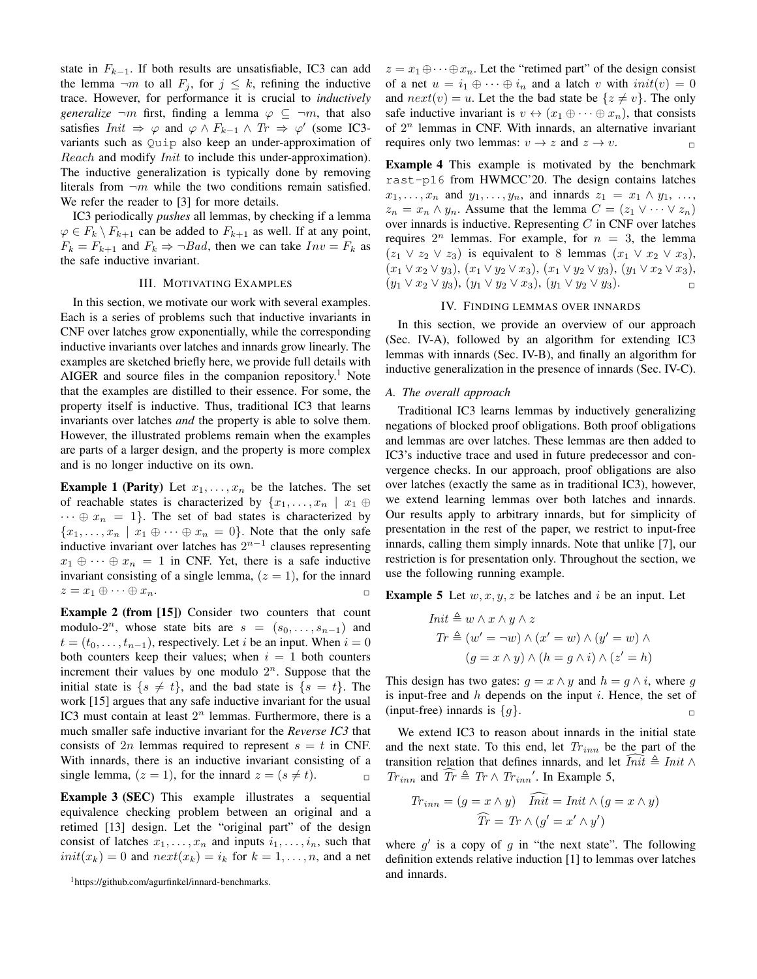state in  $F_{k-1}$ . If both results are unsatisfiable, IC3 can add the lemma  $\neg m$  to all  $F_j$ , for  $j \leq k$ , refining the inductive trace. However, for performance it is crucial to *inductively generalize*  $\neg m$  first, finding a lemma  $\varphi \subseteq \neg m$ , that also satisfies  $Init \Rightarrow \varphi$  and  $\varphi \wedge F_{k-1} \wedge Tr \Rightarrow \varphi'$  (some IC3variants such as Quip also keep an under-approximation of Reach and modify *Init* to include this under-approximation). The inductive generalization is typically done by removing literals from  $\neg m$  while the two conditions remain satisfied. We refer the reader to [\[3\]](#page-8-2) for more details.

IC3 periodically *pushes* all lemmas, by checking if a lemma  $\varphi \in F_k \setminus F_{k+1}$  can be added to  $F_{k+1}$  as well. If at any point,  $F_k = F_{k+1}$  and  $F_k \Rightarrow \neg Bad$ , then we can take  $Inv = F_k$  as the safe inductive invariant.

## III. MOTIVATING EXAMPLES

<span id="page-2-0"></span>In this section, we motivate our work with several examples. Each is a series of problems such that inductive invariants in CNF over latches grow exponentially, while the corresponding inductive invariants over latches and innards grow linearly. The examples are sketched briefly here, we provide full details with AIGER and source files in the companion repository.<sup>[1](#page-2-2)</sup> Note that the examples are distilled to their essence. For some, the property itself is inductive. Thus, traditional IC3 that learns invariants over latches *and* the property is able to solve them. However, the illustrated problems remain when the examples are parts of a larger design, and the property is more complex and is no longer inductive on its own.

**Example 1 (Parity)** Let  $x_1, \ldots, x_n$  be the latches. The set of reachable states is characterized by  $\{x_1, \ldots, x_n \mid x_1 \oplus$  $\cdots \oplus x_n = 1$ . The set of bad states is characterized by  ${x_1, \ldots, x_n \mid x_1 \oplus \cdots \oplus x_n = 0}.$  Note that the only safe inductive invariant over latches has  $2^{n-1}$  clauses representing  $x_1 \oplus \cdots \oplus x_n = 1$  in CNF. Yet, there is a safe inductive invariant consisting of a single lemma,  $(z = 1)$ , for the innard  $z = x_1 \oplus \cdots \oplus x_n.$ 

Example 2 (from [\[15\]](#page-8-10)) Consider two counters that count modulo-2<sup>n</sup>, whose state bits are  $s = (s_0, \ldots, s_{n-1})$  and  $t = (t_0, \ldots, t_{n-1})$ , respectively. Let i be an input. When  $i = 0$ both counters keep their values; when  $i = 1$  both counters increment their values by one modulo  $2^n$ . Suppose that the initial state is  $\{s \neq t\}$ , and the bad state is  $\{s = t\}$ . The work [\[15\]](#page-8-10) argues that any safe inductive invariant for the usual IC3 must contain at least  $2^n$  lemmas. Furthermore, there is a much smaller safe inductive invariant for the *Reverse IC3* that consists of 2n lemmas required to represent  $s = t$  in CNF. With innards, there is an inductive invariant consisting of a single lemma,  $(z = 1)$ , for the innard  $z = (s \neq t)$ .

Example 3 (SEC) This example illustrates a sequential equivalence checking problem between an original and a retimed [\[13\]](#page-8-8) design. Let the "original part" of the design consist of latches  $x_1, \ldots, x_n$  and inputs  $i_1, \ldots, i_n$ , such that  $init(x_k) = 0$  and  $next(x_k) = i_k$  for  $k = 1, ..., n$ , and a net  $z = x_1 \oplus \cdots \oplus x_n$ . Let the "retimed part" of the design consist of a net  $u = i_1 \oplus \cdots \oplus i_n$  and a latch v with  $init(v) = 0$ and  $next(v) = u$ . Let the the bad state be  $\{z \neq v\}$ . The only safe inductive invariant is  $v \leftrightarrow (x_1 \oplus \cdots \oplus x_n)$ , that consists of  $2^n$  lemmas in CNF. With innards, an alternative invariant requires only two lemmas:  $v \to z$  and  $z \to v$ .

<span id="page-2-6"></span>Example 4 This example is motivated by the benchmark rast-p16 from HWMCC'20. The design contains latches  $x_1, \ldots, x_n$  and  $y_1, \ldots, y_n$ , and innards  $z_1 = x_1 \wedge y_1, \ldots,$  $z_n = x_n \wedge y_n$ . Assume that the lemma  $C = (z_1 \vee \cdots \vee z_n)$ over innards is inductive. Representing  $C$  in CNF over latches requires  $2^n$  lemmas. For example, for  $n = 3$ , the lemma  $(z_1 \vee z_2 \vee z_3)$  is equivalent to 8 lemmas  $(x_1 \vee x_2 \vee x_3)$ ,  $(x_1 \vee x_2 \vee y_3), (x_1 \vee y_2 \vee x_3), (x_1 \vee y_2 \vee y_3), (y_1 \vee x_2 \vee x_3),$  $(y_1 \vee x_2 \vee y_3), (y_1 \vee y_2 \vee x_3), (y_1 \vee y_2 \vee y_3).$ 

#### IV. FINDING LEMMAS OVER INNARDS

<span id="page-2-1"></span>In this section, we provide an overview of our approach (Sec. [IV-A\)](#page-2-3), followed by an algorithm for extending IC3 lemmas with innards (Sec. [IV-B\)](#page-3-0), and finally an algorithm for inductive generalization in the presence of innards (Sec. [IV-C\)](#page-4-0).

#### <span id="page-2-3"></span>*A. The overall approach*

Traditional IC3 learns lemmas by inductively generalizing negations of blocked proof obligations. Both proof obligations and lemmas are over latches. These lemmas are then added to IC3's inductive trace and used in future predecessor and convergence checks. In our approach, proof obligations are also over latches (exactly the same as in traditional IC3), however, we extend learning lemmas over both latches and innards. Our results apply to arbitrary innards, but for simplicity of presentation in the rest of the paper, we restrict to input-free innards, calling them simply innards. Note that unlike [\[7\]](#page-8-5), our restriction is for presentation only. Throughout the section, we use the following running example.

<span id="page-2-4"></span>**Example 5** Let  $w, x, y, z$  be latches and i be an input. Let

$$
Init \triangleq w \land x \land y \land z
$$
  
\n
$$
Tr \triangleq (w' = \neg w) \land (x' = w) \land (y' = w) \land (y' = w) \land (y' = x) \land (z' = h)
$$
  
\n
$$
(g = x \land y) \land (h = g \land i) \land (z' = h)
$$

This design has two gates:  $g = x \wedge y$  and  $h = g \wedge i$ , where g is input-free and  $h$  depends on the input  $i$ . Hence, the set of (input-free) innards is  $\{q\}$ .

We extend IC3 to reason about innards in the initial state and the next state. To this end, let  $Tr_{inn}$  be the part of the transition relation that defines innards, and let  $\widehat{Init} \triangleq Init \wedge$  $Tr_{inn}$  and  $\widehat{Tr} \triangleq Tr \wedge Tr_{inn}'$ . In Example [5,](#page-2-4)

$$
Tr_{inn} = (g = x \land y) \quad \tilde{In} \vec{it} = Init \land (g = x \land y)
$$

$$
\widehat{Tr} = Tr \land (g' = x' \land y')
$$

<span id="page-2-5"></span>where  $g'$  is a copy of  $g$  in "the next state". The following definition extends relative induction [\[1\]](#page-8-0) to lemmas over latches and innards.

<span id="page-2-2"></span><sup>1</sup>[https://github.com/agurfinkel/innard-benchmarks.](https://github.com/agurfinkel/innard-benchmarks)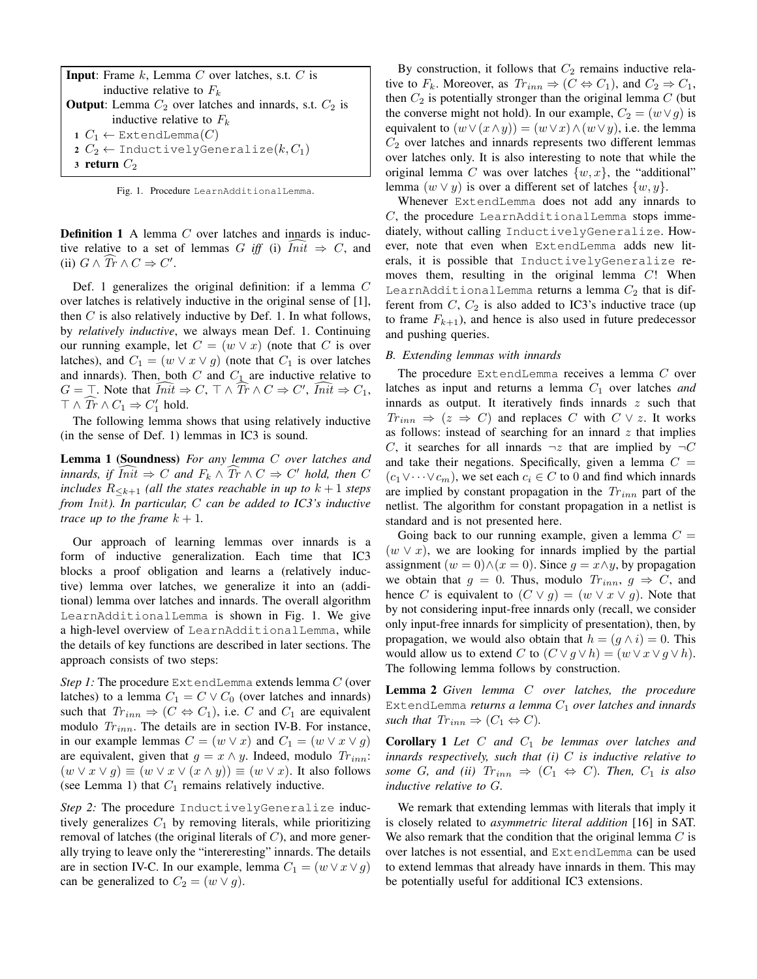| <b>Input:</b> Frame $k$ , Lemma $C$ over latches, s.t. $C$ is       |  |  |  |  |  |  |
|---------------------------------------------------------------------|--|--|--|--|--|--|
| inductive relative to $F_k$                                         |  |  |  |  |  |  |
| <b>Output</b> : Lemma $C_2$ over latches and innards, s.t. $C_2$ is |  |  |  |  |  |  |
| inductive relative to $F_k$                                         |  |  |  |  |  |  |
| 1 $C_1 \leftarrow$ ExtendLemma $(C)$                                |  |  |  |  |  |  |
| 2 $C_2 \leftarrow$ InductivelyGeneralize $(k, C_1)$                 |  |  |  |  |  |  |
| 3 return $C_2$                                                      |  |  |  |  |  |  |

<span id="page-3-1"></span>Fig. 1. Procedure LearnAdditionalLemma.

**Definition 1** A lemma  $C$  over latches and innards is inductive relative to a set of lemmas G iff (i)  $Init \Rightarrow C$ , and (ii)  $G \wedge \widehat{Tr} \wedge C \Rightarrow C'.$ 

Def. [1](#page-2-5) generalizes the original definition: if a lemma C over latches is relatively inductive in the original sense of [\[1\]](#page-8-0), then  $C$  is also relatively inductive by Def. [1.](#page-2-5) In what follows, by *relatively inductive*, we always mean Def. [1.](#page-2-5) Continuing our running example, let  $C = (w \vee x)$  (note that C is over latches), and  $C_1 = (w \vee x \vee g)$  (note that  $C_1$  is over latches and innards). Then, both  $C$  and  $C_1$  are inductive relative to  $G = \top$ . Note that  $\widehat{Init} \Rightarrow C, \top \wedge \widehat{Tr} \wedge C \Rightarrow C', \widehat{Init} \Rightarrow C_1,$  $\top \wedge \widehat{\text{Tr}} \wedge C_1 \Rightarrow C'_1 \text{ hold.}$ 

The following lemma shows that using relatively inductive (in the sense of Def. [1\)](#page-2-5) lemmas in IC3 is sound.

Lemma 1 (Soundness) *For any lemma* C *over latches and innards, if*  $\widehat{Init} \Rightarrow C$  *and*  $F_k \wedge \widehat{Tr} \wedge C \Rightarrow C'$  *hold, then* C *includes*  $R_{\leq k+1}$  *(all the states reachable in up to*  $k+1$  *steps from* Init*). In particular,* C *can be added to IC3's inductive trace up to the frame*  $k + 1$ .

Our approach of learning lemmas over innards is a form of inductive generalization. Each time that IC3 blocks a proof obligation and learns a (relatively inductive) lemma over latches, we generalize it into an (additional) lemma over latches and innards. The overall algorithm LearnAdditionalLemma is shown in Fig. [1.](#page-3-1) We give a high-level overview of LearnAdditionalLemma, while the details of key functions are described in later sections. The approach consists of two steps:

*Step 1:* The procedure ExtendLemma extends lemma C (over latches) to a lemma  $C_1 = C \vee C_0$  (over latches and innards) such that  $Tr_{inn} \Rightarrow (C \Leftrightarrow C_1)$ , i.e. C and  $C_1$  are equivalent modulo  $Tr_{inn}$ . The details are in section [IV-B.](#page-3-0) For instance, in our example lemmas  $C = (w \vee x)$  and  $C_1 = (w \vee x \vee g)$ are equivalent, given that  $g = x \wedge y$ . Indeed, modulo  $Tr_{inn}$ :  $(w \vee x \vee g) \equiv (w \vee x \vee (x \wedge y)) \equiv (w \vee x)$ . It also follows (see Lemma [1\)](#page-3-2) that  $C_1$  remains relatively inductive.

*Step 2:* The procedure InductivelyGeneralize inductively generalizes  $C_1$  by removing literals, while prioritizing removal of latches (the original literals of  $C$ ), and more generally trying to leave only the "intereresting" innards. The details are in section [IV-C.](#page-4-0) In our example, lemma  $C_1 = (w \vee x \vee q)$ can be generalized to  $C_2 = (w \vee g)$ .

By construction, it follows that  $C_2$  remains inductive relative to  $F_k$ . Moreover, as  $Tr_{inn} \Rightarrow (C \Leftrightarrow C_1)$ , and  $C_2 \Rightarrow C_1$ , then  $C_2$  is potentially stronger than the original lemma  $C$  (but the converse might not hold). In our example,  $C_2 = (w \lor g)$  is equivalent to  $(w \vee (x \wedge y)) = (w \vee x) \wedge (w \vee y)$ , i.e. the lemma  $C_2$  over latches and innards represents two different lemmas over latches only. It is also interesting to note that while the original lemma C was over latches  $\{w, x\}$ , the "additional" lemma  $(w \vee y)$  is over a different set of latches  $\{w, y\}$ .

Whenever ExtendLemma does not add any innards to  $C$ , the procedure LearnAdditionalLemma stops immediately, without calling InductivelyGeneralize. However, note that even when ExtendLemma adds new literals, it is possible that InductivelyGeneralize removes them, resulting in the original lemma  $C$ ! When LearnAdditionalLemma returns a lemma  $C_2$  that is different from  $C$ ,  $C_2$  is also added to IC3's inductive trace (up to frame  $F_{k+1}$ , and hence is also used in future predecessor and pushing queries.

#### <span id="page-3-0"></span>*B. Extending lemmas with innards*

The procedure ExtendLemma receives a lemma C over latches as input and returns a lemma  $C_1$  over latches *and* innards as output. It iteratively finds innards  $z$  such that  $Tr_{inn} \Rightarrow (z \Rightarrow C)$  and replaces C with  $C \vee z$ . It works as follows: instead of searching for an innard  $z$  that implies C, it searches for all innards  $\neg z$  that are implied by  $\neg$ C and take their negations. Specifically, given a lemma  $C =$  $(c_1 \vee \cdots \vee c_m)$ , we set each  $c_i \in C$  to 0 and find which innards are implied by constant propagation in the  $Tr_{inn}$  part of the netlist. The algorithm for constant propagation in a netlist is standard and is not presented here.

Going back to our running example, given a lemma  $C =$  $(w \vee x)$ , we are looking for innards implied by the partial assignment  $(w = 0) \wedge (x = 0)$ . Since  $q = x \wedge y$ , by propagation we obtain that  $g = 0$ . Thus, modulo  $Tr_{inn}$ ,  $g \Rightarrow C$ , and hence C is equivalent to  $(C \vee g) = (w \vee x \vee g)$ . Note that by not considering input-free innards only (recall, we consider only input-free innards for simplicity of presentation), then, by propagation, we would also obtain that  $h = (g \wedge i) = 0$ . This would allow us to extend C to  $(C \vee g \vee h) = (w \vee x \vee g \vee h)$ . The following lemma follows by construction.

Lemma 2 *Given lemma* C *over latches, the procedure* ExtendLemma *returns a lemma C<sub>1</sub> over latches and innards such that*  $Tr_{inn} \Rightarrow (C_1 \Leftrightarrow C)$ *.* 

<span id="page-3-2"></span>Corollary 1 *Let* C *and* C<sup>1</sup> *be lemmas over latches and innards respectively, such that (i)* C *is inductive relative to some G*, and *(ii)*  $Tr_{inn} \Rightarrow (C_1 \Leftrightarrow C)$ *. Then,*  $C_1$  *is also inductive relative to* G*.*

We remark that extending lemmas with literals that imply it is closely related to *asymmetric literal addition* [\[16\]](#page-8-11) in SAT. We also remark that the condition that the original lemma  $C$  is over latches is not essential, and ExtendLemma can be used to extend lemmas that already have innards in them. This may be potentially useful for additional IC3 extensions.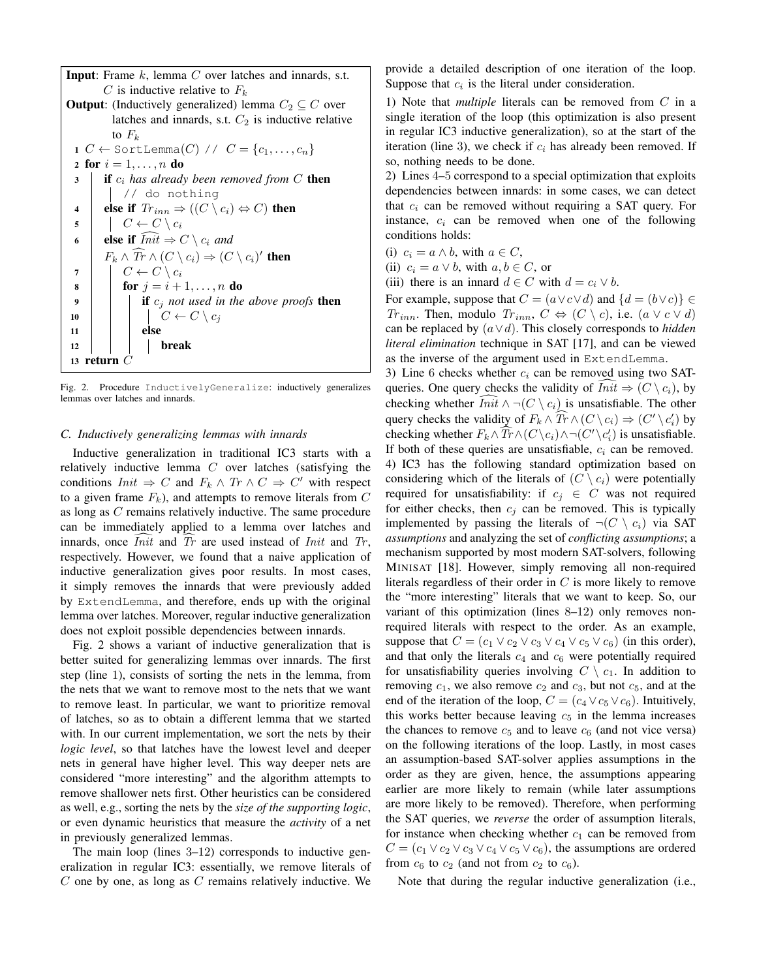**Input:** Frame  $k$ , lemma  $C$  over latches and innards, s.t. C is inductive relative to  $F_k$ **Output:** (Inductively generalized) lemma  $C_2 \subseteq C$  over latches and innards, s.t.  $C_2$  is inductive relative to  $F_k$ 1  $C \leftarrow$  SortLemma $(C)$  //  $C = \{c_1, \ldots, c_n\}$ 2 for  $i = 1, ..., n$  do <sup>3</sup> if c<sup>i</sup> *has already been removed from* C then // do nothing 4 else if  $Tr_{inn} \Rightarrow ((C \setminus c_i) \Leftrightarrow C)$  then 5  $\mid \cdot \mid C \leftarrow C \setminus c_i$ 6 else if  $\widehat{Init} \Rightarrow C \setminus c_i$  and  $F_k \wedge \overline{Tr} \wedge (C \setminus c_i) \Rightarrow (C \setminus c_i)'$  then 7  $\mid C \leftarrow C \setminus c_i$ 8 **for**  $j = i + 1, ..., n$  do 9  $\parallel$  **if**  $c_i$  *not used in the above proofs* then 10  $\mid \cdot \mid \cdot \mid C \leftarrow C \setminus c_i$  $11$  else  $12$  break 13 return  $C$ 

<span id="page-4-1"></span>Fig. 2. Procedure InductivelyGeneralize: inductively generalizes lemmas over latches and innards.

## <span id="page-4-0"></span>*C. Inductively generalizing lemmas with innards*

Inductive generalization in traditional IC3 starts with a relatively inductive lemma  $C$  over latches (satisfying the conditions  $Init \Rightarrow C$  and  $F_k \wedge Tr \wedge C \Rightarrow C'$  with respect to a given frame  $F_k$ ), and attempts to remove literals from  $C$ as long as C remains relatively inductive. The same procedure can be immediately applied to a lemma over latches and innards, once *Init* and  $Tr$  are used instead of *Init* and  $Tr$ , respectively. However, we found that a naive application of inductive generalization gives poor results. In most cases, it simply removes the innards that were previously added by ExtendLemma, and therefore, ends up with the original lemma over latches. Moreover, regular inductive generalization does not exploit possible dependencies between innards.

Fig. [2](#page-4-1) shows a variant of inductive generalization that is better suited for generalizing lemmas over innards. The first step (line 1), consists of sorting the nets in the lemma, from the nets that we want to remove most to the nets that we want to remove least. In particular, we want to prioritize removal of latches, so as to obtain a different lemma that we started with. In our current implementation, we sort the nets by their *logic level*, so that latches have the lowest level and deeper nets in general have higher level. This way deeper nets are considered "more interesting" and the algorithm attempts to remove shallower nets first. Other heuristics can be considered as well, e.g., sorting the nets by the *size of the supporting logic*, or even dynamic heuristics that measure the *activity* of a net in previously generalized lemmas.

The main loop (lines 3–12) corresponds to inductive generalization in regular IC3: essentially, we remove literals of  $C$  one by one, as long as  $C$  remains relatively inductive. We provide a detailed description of one iteration of the loop. Suppose that  $c_i$  is the literal under consideration.

1) Note that *multiple* literals can be removed from C in a single iteration of the loop (this optimization is also present in regular IC3 inductive generalization), so at the start of the iteration (line 3), we check if  $c_i$  has already been removed. If so, nothing needs to be done.

2) Lines 4–5 correspond to a special optimization that exploits dependencies between innards: in some cases, we can detect that  $c_i$  can be removed without requiring a SAT query. For instance,  $c_i$  can be removed when one of the following conditions holds:

- (i)  $c_i = a \wedge b$ , with  $a \in C$ ,
- (ii)  $c_i = a \vee b$ , with  $a, b \in C$ , or
- (iii) there is an innard  $d \in C$  with  $d = c_i \vee b$ .

For example, suppose that  $C = (a \lor c \lor d)$  and  $\{d = (b \lor c)\}\in$  $Tr_{inn}$ . Then, modulo  $Tr_{inn}$ ,  $C \Leftrightarrow (C \setminus c)$ , i.e.  $(a \vee c \vee d)$ can be replaced by (a∨d). This closely corresponds to *hidden literal elimination* technique in SAT [\[17\]](#page-8-12), and can be viewed as the inverse of the argument used in ExtendLemma.

3) Line 6 checks whether  $c_i$  can be removed using two SATqueries. One query checks the validity of  $Init \Rightarrow (C \setminus c_i)$ , by checking whether  $\overline{Init} \wedge \neg (C \setminus c_i)$  is unsatisfiable. The other query checks the validity of  $F_k \wedge \overline{T} \wedge (C \setminus c_i) \Rightarrow (C' \setminus c_i')$  by checking whether  $F_k \wedge \overline{Tr} \wedge (C \setminus c_i) \wedge \neg (C' \setminus c'_i)$  is unsatisfiable. If both of these queries are unsatisfiable,  $c_i$  can be removed. 4) IC3 has the following standard optimization based on considering which of the literals of  $(C \setminus c_i)$  were potentially required for unsatisfiability: if  $c_j \in C$  was not required for either checks, then  $c_i$  can be removed. This is typically implemented by passing the literals of  $\neg(C \setminus c_i)$  via SAT *assumptions* and analyzing the set of *conflicting assumptions*; a mechanism supported by most modern SAT-solvers, following MINISAT [\[18\]](#page-8-13). However, simply removing all non-required literals regardless of their order in  $C$  is more likely to remove the "more interesting" literals that we want to keep. So, our variant of this optimization (lines 8–12) only removes nonrequired literals with respect to the order. As an example, suppose that  $C = (c_1 \vee c_2 \vee c_3 \vee c_4 \vee c_5 \vee c_6)$  (in this order), and that only the literals  $c_4$  and  $c_6$  were potentially required for unsatisfiability queries involving  $C \setminus c_1$ . In addition to removing  $c_1$ , we also remove  $c_2$  and  $c_3$ , but not  $c_5$ , and at the end of the iteration of the loop,  $C = (c_4 \vee c_5 \vee c_6)$ . Intuitively, this works better because leaving  $c<sub>5</sub>$  in the lemma increases the chances to remove  $c_5$  and to leave  $c_6$  (and not vice versa) on the following iterations of the loop. Lastly, in most cases an assumption-based SAT-solver applies assumptions in the order as they are given, hence, the assumptions appearing earlier are more likely to remain (while later assumptions are more likely to be removed). Therefore, when performing the SAT queries, we *reverse* the order of assumption literals, for instance when checking whether  $c_1$  can be removed from  $C = (c_1 \vee c_2 \vee c_3 \vee c_4 \vee c_5 \vee c_6)$ , the assumptions are ordered from  $c_6$  to  $c_2$  (and not from  $c_2$  to  $c_6$ ).

Note that during the regular inductive generalization (i.e.,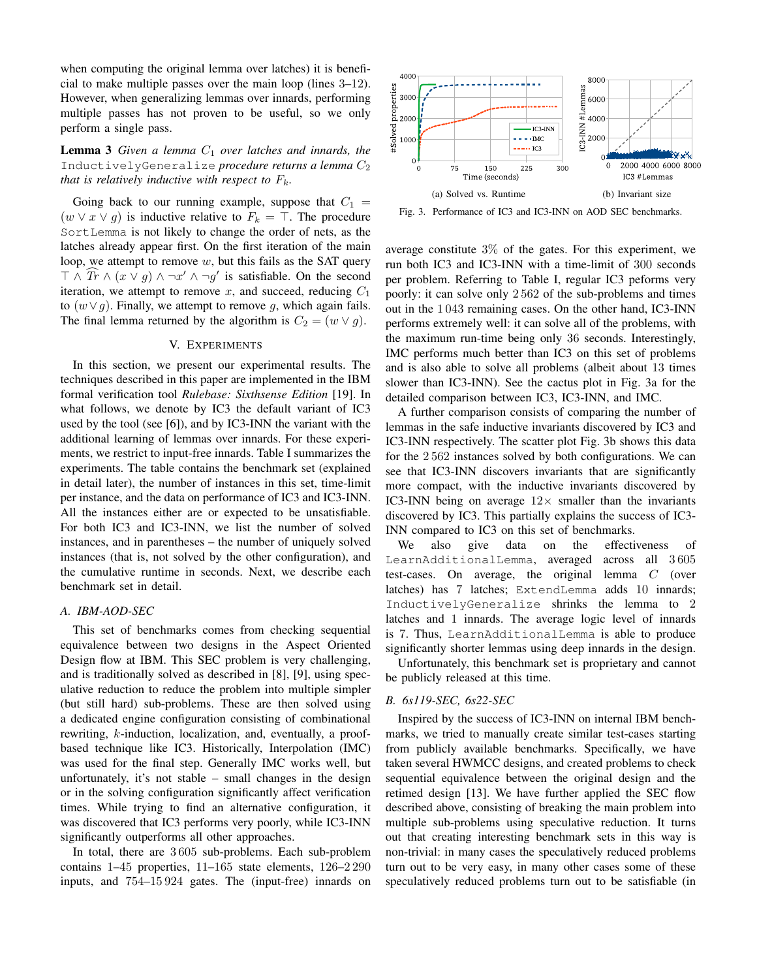when computing the original lemma over latches) it is beneficial to make multiple passes over the main loop (lines 3–12). However, when generalizing lemmas over innards, performing multiple passes has not proven to be useful, so we only perform a single pass.

**Lemma 3** *Given a lemma*  $C_1$  *over latches and innards, the* InductivelyGeneralize *procedure returns a lemma*  $C_2$ *that is relatively inductive with respect to*  $F_k$ .

Going back to our running example, suppose that  $C_1$  =  $(w \vee x \vee g)$  is inductive relative to  $F_k = \top$ . The procedure SortLemma is not likely to change the order of nets, as the latches already appear first. On the first iteration of the main loop, we attempt to remove  $w$ , but this fails as the SAT query  $\top \wedge \overline{T} \wedge (x \vee g) \wedge \neg x' \wedge \neg g'$  is satisfiable. On the second iteration, we attempt to remove x, and succeed, reducing  $C_1$ to  $(w \vee q)$ . Finally, we attempt to remove g, which again fails. The final lemma returned by the algorithm is  $C_2 = (w \vee q)$ .

### V. EXPERIMENTS

<span id="page-5-0"></span>In this section, we present our experimental results. The techniques described in this paper are implemented in the IBM formal verification tool *Rulebase: Sixthsense Edition* [\[19\]](#page-8-14). In what follows, we denote by IC3 the default variant of IC3 used by the tool (see [\[6\]](#page-8-4)), and by IC3-INN the variant with the additional learning of lemmas over innards. For these experiments, we restrict to input-free innards. Table [I](#page-6-0) summarizes the experiments. The table contains the benchmark set (explained in detail later), the number of instances in this set, time-limit per instance, and the data on performance of IC3 and IC3-INN. All the instances either are or expected to be unsatisfiable. For both IC3 and IC3-INN, we list the number of solved instances, and in parentheses – the number of uniquely solved instances (that is, not solved by the other configuration), and the cumulative runtime in seconds. Next, we describe each benchmark set in detail.

### *A. IBM-AOD-SEC*

This set of benchmarks comes from checking sequential equivalence between two designs in the Aspect Oriented Design flow at IBM. This SEC problem is very challenging, and is traditionally solved as described in [\[8\]](#page-8-6), [\[9\]](#page-8-15), using speculative reduction to reduce the problem into multiple simpler (but still hard) sub-problems. These are then solved using a dedicated engine configuration consisting of combinational rewriting, k-induction, localization, and, eventually, a proofbased technique like IC3. Historically, Interpolation (IMC) was used for the final step. Generally IMC works well, but unfortunately, it's not stable – small changes in the design or in the solving configuration significantly affect verification times. While trying to find an alternative configuration, it was discovered that IC3 performs very poorly, while IC3-INN significantly outperforms all other approaches.

In total, there are 3 605 sub-problems. Each sub-problem contains 1–45 properties, 11–165 state elements, 126–2 290 inputs, and 754–15 924 gates. The (input-free) innards on

<span id="page-5-1"></span>

<span id="page-5-2"></span>Fig. 3. Performance of IC3 and IC3-INN on AOD SEC benchmarks.

average constitute 3% of the gates. For this experiment, we run both IC3 and IC3-INN with a time-limit of 300 seconds per problem. Referring to Table [I,](#page-6-0) regular IC3 peforms very poorly: it can solve only 2 562 of the sub-problems and times out in the 1 043 remaining cases. On the other hand, IC3-INN performs extremely well: it can solve all of the problems, with the maximum run-time being only 36 seconds. Interestingly, IMC performs much better than IC3 on this set of problems and is also able to solve all problems (albeit about 13 times slower than IC3-INN). See the cactus plot in Fig. [3a](#page-5-1) for the detailed comparison between IC3, IC3-INN, and IMC.

A further comparison consists of comparing the number of lemmas in the safe inductive invariants discovered by IC3 and IC3-INN respectively. The scatter plot Fig. [3b](#page-5-2) shows this data for the 2 562 instances solved by both configurations. We can see that IC3-INN discovers invariants that are significantly more compact, with the inductive invariants discovered by IC3-INN being on average  $12\times$  smaller than the invariants discovered by IC3. This partially explains the success of IC3- INN compared to IC3 on this set of benchmarks.

We also give data on the effectiveness of LearnAdditionalLemma, averaged across all 3 605 test-cases. On average, the original lemma C (over latches) has 7 latches; ExtendLemma adds 10 innards; InductivelyGeneralize shrinks the lemma to 2 latches and 1 innards. The average logic level of innards is 7. Thus, LearnAdditionalLemma is able to produce significantly shorter lemmas using deep innards in the design.

Unfortunately, this benchmark set is proprietary and cannot be publicly released at this time.

### *B. 6s119-SEC, 6s22-SEC*

Inspired by the success of IC3-INN on internal IBM benchmarks, we tried to manually create similar test-cases starting from publicly available benchmarks. Specifically, we have taken several HWMCC designs, and created problems to check sequential equivalence between the original design and the retimed design [\[13\]](#page-8-8). We have further applied the SEC flow described above, consisting of breaking the main problem into multiple sub-problems using speculative reduction. It turns out that creating interesting benchmark sets in this way is non-trivial: in many cases the speculatively reduced problems turn out to be very easy, in many other cases some of these speculatively reduced problems turn out to be satisfiable (in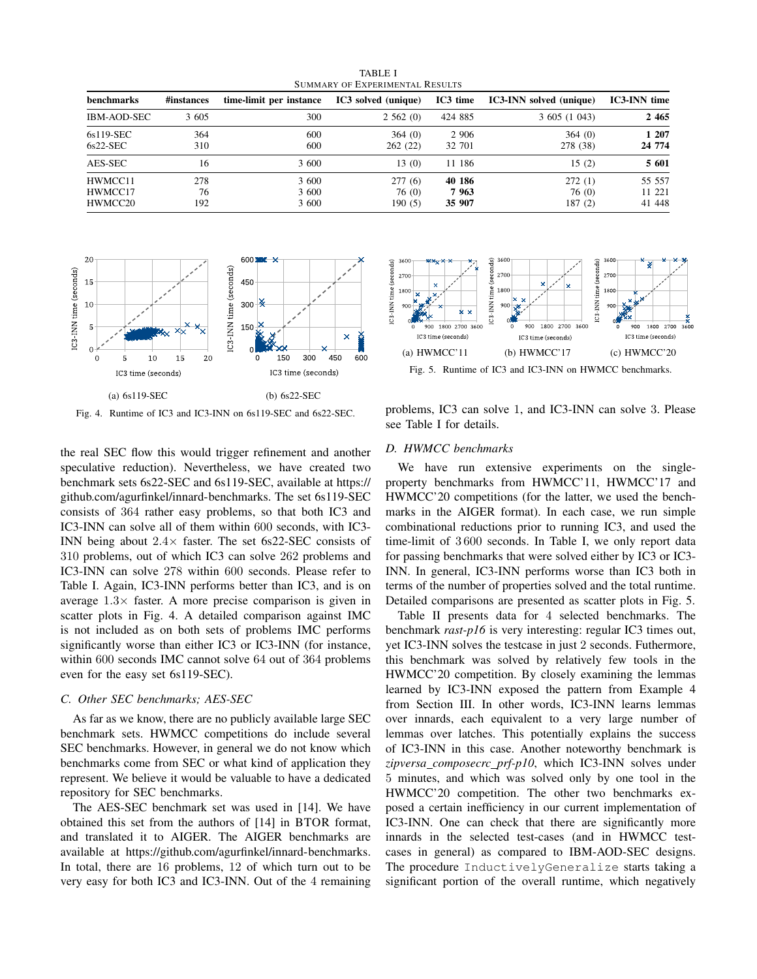<span id="page-6-0"></span>

| benchmarks                    | #instances       | time-limit per instance | IC3 solved (unique)       | IC3 time                 | <b>IC3-INN</b> solved (unique) | <b>IC3-INN</b> time        |
|-------------------------------|------------------|-------------------------|---------------------------|--------------------------|--------------------------------|----------------------------|
| <b>IBM-AOD-SEC</b>            | 3 605            | 300                     | 2,562(0)                  | 424 885                  | 3605(1043)                     | 2 4 6 5                    |
| 6s119-SEC<br>$6s22-SEC$       | 364<br>310       | 600<br>600              | 364(0)<br>262(22)         | 2 9 0 6<br>32 701        | 364(0)<br>278 (38)             | 1 207<br>24 774            |
| AES-SEC                       | 16               | 3 600                   | 13(0)                     | 11 186                   | 15(2)                          | 5 601                      |
| HWMCC11<br>HWMCC17<br>HWMCC20 | 278<br>76<br>192 | 3 600<br>3 600<br>3 600 | 277(6)<br>76(0)<br>190(5) | 40 186<br>7963<br>35 907 | 272(1)<br>76 (0)<br>187(2)     | 55 557<br>11 221<br>41 448 |

TABLE I SUMMARY OF EXPERIMENTAL RESULTS



<span id="page-6-1"></span>Fig. 4. Runtime of IC3 and IC3-INN on 6s119-SEC and 6s22-SEC.

the real SEC flow this would trigger refinement and another speculative reduction). Nevertheless, we have created two benchmark sets 6s22-SEC and 6s119-SEC, available at [https://](https://github.com/agurfinkel/innard-benchmarks) [github.com/agurfinkel/innard-benchmarks.](https://github.com/agurfinkel/innard-benchmarks) The set 6s119-SEC consists of 364 rather easy problems, so that both IC3 and IC3-INN can solve all of them within 600 seconds, with IC3- INN being about  $2.4\times$  faster. The set 6s22-SEC consists of 310 problems, out of which IC3 can solve 262 problems and IC3-INN can solve 278 within 600 seconds. Please refer to Table [I.](#page-6-0) Again, IC3-INN performs better than IC3, and is on average  $1.3\times$  faster. A more precise comparison is given in scatter plots in Fig. [4.](#page-6-1) A detailed comparison against IMC is not included as on both sets of problems IMC performs significantly worse than either IC3 or IC3-INN (for instance, within 600 seconds IMC cannot solve 64 out of 364 problems even for the easy set 6s119-SEC).

### *C. Other SEC benchmarks; AES-SEC*

As far as we know, there are no publicly available large SEC benchmark sets. HWMCC competitions do include several SEC benchmarks. However, in general we do not know which benchmarks come from SEC or what kind of application they represent. We believe it would be valuable to have a dedicated repository for SEC benchmarks.

The AES-SEC benchmark set was used in [\[14\]](#page-8-9). We have obtained this set from the authors of [\[14\]](#page-8-9) in BTOR format, and translated it to AIGER. The AIGER benchmarks are available at [https://github.com/agurfinkel/innard-benchmarks.](https://github.com/agurfinkel/innard-benchmarks) In total, there are 16 problems, 12 of which turn out to be very easy for both IC3 and IC3-INN. Out of the 4 remaining



<span id="page-6-2"></span>Fig. 5. Runtime of IC3 and IC3-INN on HWMCC benchmarks.

problems, IC3 can solve 1, and IC3-INN can solve 3. Please see Table [I](#page-6-0) for details.

## *D. HWMCC benchmarks*

We have run extensive experiments on the singleproperty benchmarks from HWMCC'11, HWMCC'17 and HWMCC'20 competitions (for the latter, we used the benchmarks in the AIGER format). In each case, we run simple combinational reductions prior to running IC3, and used the time-limit of 3 600 seconds. In Table [I,](#page-6-0) we only report data for passing benchmarks that were solved either by IC3 or IC3- INN. In general, IC3-INN performs worse than IC3 both in terms of the number of properties solved and the total runtime. Detailed comparisons are presented as scatter plots in Fig. [5.](#page-6-2)

Table [II](#page-7-2) presents data for 4 selected benchmarks. The benchmark *rast-p16* is very interesting: regular IC3 times out, yet IC3-INN solves the testcase in just 2 seconds. Futhermore, this benchmark was solved by relatively few tools in the HWMCC'20 competition. By closely examining the lemmas learned by IC3-INN exposed the pattern from Example [4](#page-2-6) from Section [III.](#page-2-0) In other words, IC3-INN learns lemmas over innards, each equivalent to a very large number of lemmas over latches. This potentially explains the success of IC3-INN in this case. Another noteworthy benchmark is *zipversa composecrc prf-p10*, which IC3-INN solves under 5 minutes, and which was solved only by one tool in the HWMCC'20 competition. The other two benchmarks exposed a certain inefficiency in our current implementation of IC3-INN. One can check that there are significantly more innards in the selected test-cases (and in HWMCC testcases in general) as compared to IBM-AOD-SEC designs. The procedure InductivelyGeneralize starts taking a significant portion of the overall runtime, which negatively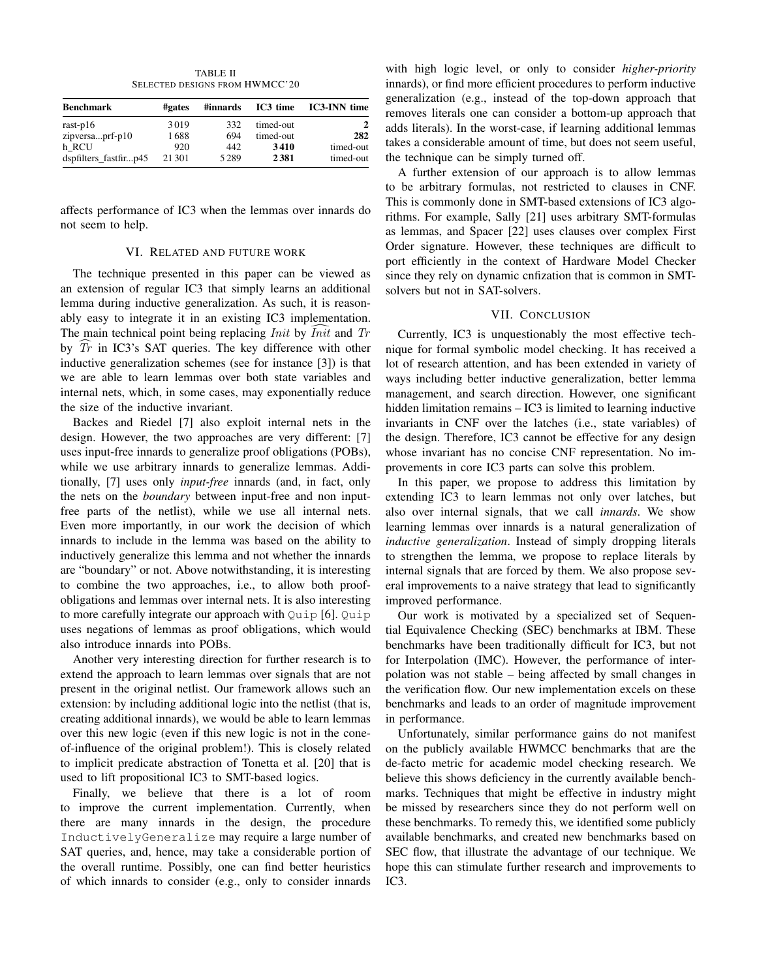TABLE II SELECTED DESIGNS FROM HWMCC'20

<span id="page-7-2"></span>

| <b>Benchmark</b>      | #gates  | #innards | IC3 time  | <b>IC3-INN</b> time |
|-----------------------|---------|----------|-----------|---------------------|
| rast- $p16$           | 3019    | 332      | timed-out |                     |
| zipversaprf-p10       | 1688    | 694      | timed-out | 282                 |
| h RCU                 | 920     | 442      | 3410      | timed-out           |
| dspfilters_fastfirp45 | 21 30 1 | 5289     | 2381      | timed-out           |

affects performance of IC3 when the lemmas over innards do not seem to help.

## VI. RELATED AND FUTURE WORK

<span id="page-7-0"></span>The technique presented in this paper can be viewed as an extension of regular IC3 that simply learns an additional lemma during inductive generalization. As such, it is reasonably easy to integrate it in an existing IC3 implementation. The main technical point being replacing  $Init$  by  $Init$  and  $Tr$ by  $Tr$  in IC3's SAT queries. The key difference with other inductive generalization schemes (see for instance [\[3\]](#page-8-2)) is that we are able to learn lemmas over both state variables and internal nets, which, in some cases, may exponentially reduce the size of the inductive invariant.

Backes and Riedel [\[7\]](#page-8-5) also exploit internal nets in the design. However, the two approaches are very different: [\[7\]](#page-8-5) uses input-free innards to generalize proof obligations (POBs), while we use arbitrary innards to generalize lemmas. Additionally, [\[7\]](#page-8-5) uses only *input-free* innards (and, in fact, only the nets on the *boundary* between input-free and non inputfree parts of the netlist), while we use all internal nets. Even more importantly, in our work the decision of which innards to include in the lemma was based on the ability to inductively generalize this lemma and not whether the innards are "boundary" or not. Above notwithstanding, it is interesting to combine the two approaches, i.e., to allow both proofobligations and lemmas over internal nets. It is also interesting to more carefully integrate our approach with Quip [\[6\]](#page-8-4). Quip uses negations of lemmas as proof obligations, which would also introduce innards into POBs.

Another very interesting direction for further research is to extend the approach to learn lemmas over signals that are not present in the original netlist. Our framework allows such an extension: by including additional logic into the netlist (that is, creating additional innards), we would be able to learn lemmas over this new logic (even if this new logic is not in the coneof-influence of the original problem!). This is closely related to implicit predicate abstraction of Tonetta et al. [\[20\]](#page-8-16) that is used to lift propositional IC3 to SMT-based logics.

Finally, we believe that there is a lot of room to improve the current implementation. Currently, when there are many innards in the design, the procedure InductivelyGeneralize may require a large number of SAT queries, and, hence, may take a considerable portion of the overall runtime. Possibly, one can find better heuristics of which innards to consider (e.g., only to consider innards

with high logic level, or only to consider *higher-priority* innards), or find more efficient procedures to perform inductive generalization (e.g., instead of the top-down approach that removes literals one can consider a bottom-up approach that adds literals). In the worst-case, if learning additional lemmas takes a considerable amount of time, but does not seem useful, the technique can be simply turned off.

A further extension of our approach is to allow lemmas to be arbitrary formulas, not restricted to clauses in CNF. This is commonly done in SMT-based extensions of IC3 algorithms. For example, Sally [\[21\]](#page-8-17) uses arbitrary SMT-formulas as lemmas, and Spacer [\[22\]](#page-8-18) uses clauses over complex First Order signature. However, these techniques are difficult to port efficiently in the context of Hardware Model Checker since they rely on dynamic cnfization that is common in SMTsolvers but not in SAT-solvers.

#### VII. CONCLUSION

<span id="page-7-1"></span>Currently, IC3 is unquestionably the most effective technique for formal symbolic model checking. It has received a lot of research attention, and has been extended in variety of ways including better inductive generalization, better lemma management, and search direction. However, one significant hidden limitation remains – IC3 is limited to learning inductive invariants in CNF over the latches (i.e., state variables) of the design. Therefore, IC3 cannot be effective for any design whose invariant has no concise CNF representation. No improvements in core IC3 parts can solve this problem.

In this paper, we propose to address this limitation by extending IC3 to learn lemmas not only over latches, but also over internal signals, that we call *innards*. We show learning lemmas over innards is a natural generalization of *inductive generalization*. Instead of simply dropping literals to strengthen the lemma, we propose to replace literals by internal signals that are forced by them. We also propose several improvements to a naive strategy that lead to significantly improved performance.

Our work is motivated by a specialized set of Sequential Equivalence Checking (SEC) benchmarks at IBM. These benchmarks have been traditionally difficult for IC3, but not for Interpolation (IMC). However, the performance of interpolation was not stable – being affected by small changes in the verification flow. Our new implementation excels on these benchmarks and leads to an order of magnitude improvement in performance.

Unfortunately, similar performance gains do not manifest on the publicly available HWMCC benchmarks that are the de-facto metric for academic model checking research. We believe this shows deficiency in the currently available benchmarks. Techniques that might be effective in industry might be missed by researchers since they do not perform well on these benchmarks. To remedy this, we identified some publicly available benchmarks, and created new benchmarks based on SEC flow, that illustrate the advantage of our technique. We hope this can stimulate further research and improvements to IC3.